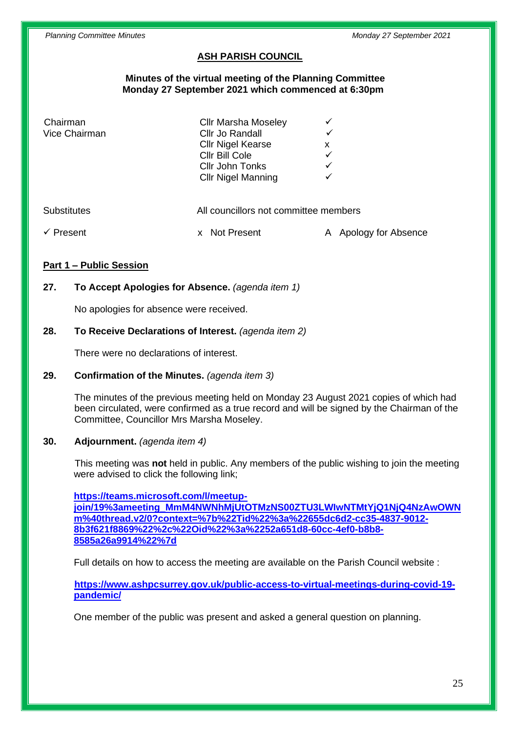# **ASH PARISH COUNCIL**

#### **Minutes of the virtual meeting of the Planning Committee Monday 27 September 2021 which commenced at 6:30pm**

| Chairman<br>Vice Chairman | <b>Cllr Marsha Moseley</b><br>Cllr Jo Randall<br><b>Cllr Nigel Kearse</b><br>Cllr Bill Cole<br>Cllr John Tonks | x<br>$\checkmark$        |
|---------------------------|----------------------------------------------------------------------------------------------------------------|--------------------------|
|                           | <b>Cllr Nigel Manning</b>                                                                                      |                          |
| <b>Substitutes</b>        | All councillors not committee members                                                                          |                          |
| Present                   | <b>Not Present</b>                                                                                             | Apology for Absence<br>Α |

## **Part 1 – Public Session**

# **27. To Accept Apologies for Absence.** *(agenda item 1)*

No apologies for absence were received.

## **28. To Receive Declarations of Interest.** *(agenda item 2)*

There were no declarations of interest.

#### **29. Confirmation of the Minutes.** *(agenda item 3)*

The minutes of the previous meeting held on Monday 23 August 2021 copies of which had been circulated, were confirmed as a true record and will be signed by the Chairman of the Committee, Councillor Mrs Marsha Moseley.

#### **30. Adjournment.** *(agenda item 4)*

This meeting was **not** held in public. Any members of the public wishing to join the meeting were advised to click the following link;

**[https://teams.microsoft.com/l/meetup](https://teams.microsoft.com/l/meetup-join/19%3ameeting_MmM4NWNhMjUtOTMzNS00ZTU3LWIwNTMtYjQ1NjQ4NzAwOWNm%40thread.v2/0?context=%7b%22Tid%22%3a%22655dc6d2-cc35-4837-9012-8b3f621f8869%22%2c%22Oid%22%3a%2252a651d8-60cc-4ef0-b8b8-8585a26a9914%22%7d)[join/19%3ameeting\\_MmM4NWNhMjUtOTMzNS00ZTU3LWIwNTMtYjQ1NjQ4NzAwOWN](https://teams.microsoft.com/l/meetup-join/19%3ameeting_MmM4NWNhMjUtOTMzNS00ZTU3LWIwNTMtYjQ1NjQ4NzAwOWNm%40thread.v2/0?context=%7b%22Tid%22%3a%22655dc6d2-cc35-4837-9012-8b3f621f8869%22%2c%22Oid%22%3a%2252a651d8-60cc-4ef0-b8b8-8585a26a9914%22%7d) [m%40thread.v2/0?context=%7b%22Tid%22%3a%22655dc6d2-cc35-4837-9012-](https://teams.microsoft.com/l/meetup-join/19%3ameeting_MmM4NWNhMjUtOTMzNS00ZTU3LWIwNTMtYjQ1NjQ4NzAwOWNm%40thread.v2/0?context=%7b%22Tid%22%3a%22655dc6d2-cc35-4837-9012-8b3f621f8869%22%2c%22Oid%22%3a%2252a651d8-60cc-4ef0-b8b8-8585a26a9914%22%7d) [8b3f621f8869%22%2c%22Oid%22%3a%2252a651d8-60cc-4ef0-b8b8-](https://teams.microsoft.com/l/meetup-join/19%3ameeting_MmM4NWNhMjUtOTMzNS00ZTU3LWIwNTMtYjQ1NjQ4NzAwOWNm%40thread.v2/0?context=%7b%22Tid%22%3a%22655dc6d2-cc35-4837-9012-8b3f621f8869%22%2c%22Oid%22%3a%2252a651d8-60cc-4ef0-b8b8-8585a26a9914%22%7d) [8585a26a9914%22%7d](https://teams.microsoft.com/l/meetup-join/19%3ameeting_MmM4NWNhMjUtOTMzNS00ZTU3LWIwNTMtYjQ1NjQ4NzAwOWNm%40thread.v2/0?context=%7b%22Tid%22%3a%22655dc6d2-cc35-4837-9012-8b3f621f8869%22%2c%22Oid%22%3a%2252a651d8-60cc-4ef0-b8b8-8585a26a9914%22%7d)**

Full details on how to access the meeting are available on the Parish Council website :

**[https://www.ashpcsurrey.gov.uk/public-access-to-virtual-meetings-during-covid-19](https://www.ashpcsurrey.gov.uk/public-access-to-virtual-meetings-during-covid-19-pandemic/) [pandemic/](https://www.ashpcsurrey.gov.uk/public-access-to-virtual-meetings-during-covid-19-pandemic/)**

One member of the public was present and asked a general question on planning.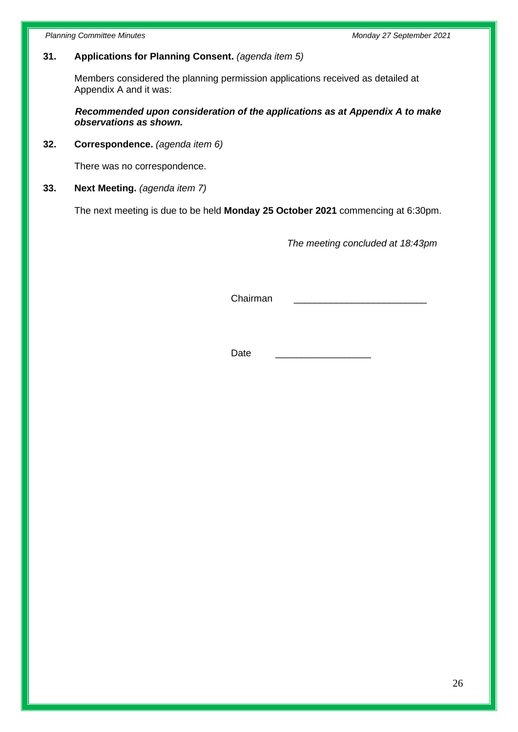*Planning Committee Minutes Monday 27 September 2021*

# **31. Applications for Planning Consent.** *(agenda item 5)*

Members considered the planning permission applications received as detailed at Appendix A and it was:

 *Recommended upon consideration of the applications as at Appendix A to make observations as shown.*

**32. Correspondence.** *(agenda item 6)*

There was no correspondence.

**33. Next Meeting.** *(agenda item 7)*

The next meeting is due to be held **Monday 25 October 2021** commencing at 6:30pm.

*The meeting concluded at 18:43pm*

Chairman \_\_\_\_\_\_\_\_\_\_\_\_\_\_\_\_\_\_\_\_\_\_\_\_\_

Date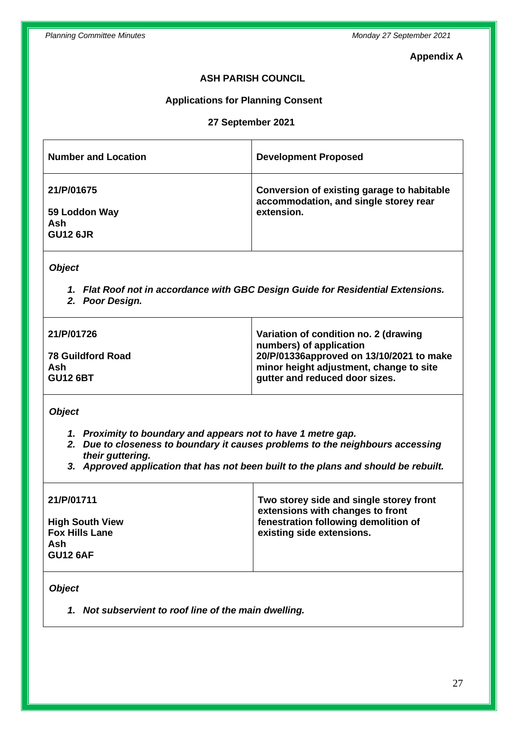## **Appendix A**

# **ASH PARISH COUNCIL**

# **Applications for Planning Consent**

# **27 September 2021**

| <b>Number and Location</b>                                                                                           | <b>Development Proposed</b>                                                                                                                                                               |  |  |  |
|----------------------------------------------------------------------------------------------------------------------|-------------------------------------------------------------------------------------------------------------------------------------------------------------------------------------------|--|--|--|
| 21/P/01675<br>59 Loddon Way<br>Ash<br><b>GU12 6JR</b>                                                                | Conversion of existing garage to habitable<br>accommodation, and single storey rear<br>extension.                                                                                         |  |  |  |
| <b>Object</b><br>1. Flat Roof not in accordance with GBC Design Guide for Residential Extensions.<br>2. Poor Design. |                                                                                                                                                                                           |  |  |  |
| 21/P/01726<br><b>78 Guildford Road</b><br>Ash<br><b>GU12 6BT</b>                                                     | Variation of condition no. 2 (drawing<br>numbers) of application<br>20/P/01336approved on 13/10/2021 to make<br>minor height adjustment, change to site<br>gutter and reduced door sizes. |  |  |  |
| <b>Object</b><br>1. Proximity to boundary and appears not to have 1 metre gap.                                       |                                                                                                                                                                                           |  |  |  |

- *2. Due to closeness to boundary it causes problems to the neighbours accessing their guttering.*
- *3. Approved application that has not been built to the plans and should be rebuilt.*

| 21/P/01711                                                                | Two storey side and single storey front<br>extensions with changes to front |
|---------------------------------------------------------------------------|-----------------------------------------------------------------------------|
| <b>High South View</b><br><b>Fox Hills Lane</b><br>Ash<br><b>GU12 6AF</b> | fenestration following demolition of<br>existing side extensions.           |

*Object*

*1. Not subservient to roof line of the main dwelling.*